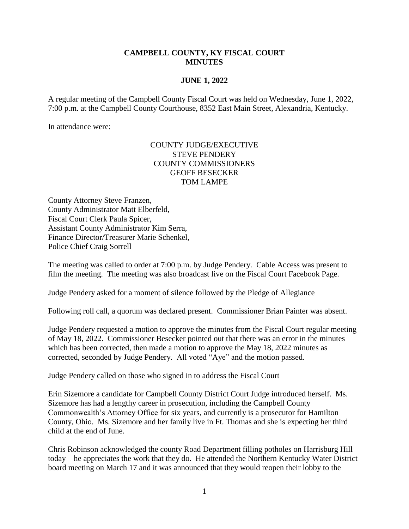## **CAMPBELL COUNTY, KY FISCAL COURT MINUTES**

## **JUNE 1, 2022**

A regular meeting of the Campbell County Fiscal Court was held on Wednesday, June 1, 2022, 7:00 p.m. at the Campbell County Courthouse, 8352 East Main Street, Alexandria, Kentucky.

In attendance were:

## COUNTY JUDGE/EXECUTIVE STEVE PENDERY COUNTY COMMISSIONERS GEOFF BESECKER TOM LAMPE

County Attorney Steve Franzen, County Administrator Matt Elberfeld, Fiscal Court Clerk Paula Spicer, Assistant County Administrator Kim Serra, Finance Director/Treasurer Marie Schenkel, Police Chief Craig Sorrell

The meeting was called to order at 7:00 p.m. by Judge Pendery. Cable Access was present to film the meeting. The meeting was also broadcast live on the Fiscal Court Facebook Page.

Judge Pendery asked for a moment of silence followed by the Pledge of Allegiance

Following roll call, a quorum was declared present. Commissioner Brian Painter was absent.

Judge Pendery requested a motion to approve the minutes from the Fiscal Court regular meeting of May 18, 2022. Commissioner Besecker pointed out that there was an error in the minutes which has been corrected, then made a motion to approve the May 18, 2022 minutes as corrected, seconded by Judge Pendery. All voted "Aye" and the motion passed.

Judge Pendery called on those who signed in to address the Fiscal Court

Erin Sizemore a candidate for Campbell County District Court Judge introduced herself. Ms. Sizemore has had a lengthy career in prosecution, including the Campbell County Commonwealth's Attorney Office for six years, and currently is a prosecutor for Hamilton County, Ohio. Ms. Sizemore and her family live in Ft. Thomas and she is expecting her third child at the end of June.

Chris Robinson acknowledged the county Road Department filling potholes on Harrisburg Hill today – he appreciates the work that they do. He attended the Northern Kentucky Water District board meeting on March 17 and it was announced that they would reopen their lobby to the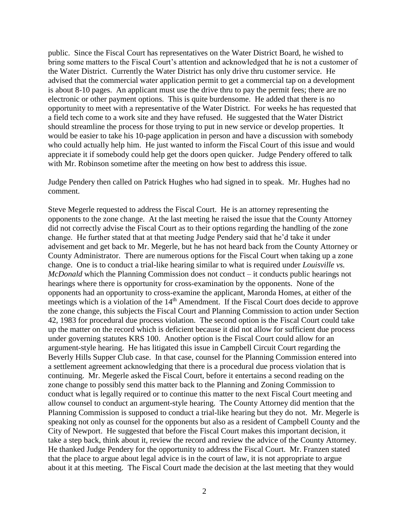public. Since the Fiscal Court has representatives on the Water District Board, he wished to bring some matters to the Fiscal Court's attention and acknowledged that he is not a customer of the Water District. Currently the Water District has only drive thru customer service. He advised that the commercial water application permit to get a commercial tap on a development is about 8-10 pages. An applicant must use the drive thru to pay the permit fees; there are no electronic or other payment options. This is quite burdensome. He added that there is no opportunity to meet with a representative of the Water District. For weeks he has requested that a field tech come to a work site and they have refused. He suggested that the Water District should streamline the process for those trying to put in new service or develop properties. It would be easier to take his 10-page application in person and have a discussion with somebody who could actually help him. He just wanted to inform the Fiscal Court of this issue and would appreciate it if somebody could help get the doors open quicker. Judge Pendery offered to talk with Mr. Robinson sometime after the meeting on how best to address this issue.

Judge Pendery then called on Patrick Hughes who had signed in to speak. Mr. Hughes had no comment.

Steve Megerle requested to address the Fiscal Court. He is an attorney representing the opponents to the zone change. At the last meeting he raised the issue that the County Attorney did not correctly advise the Fiscal Court as to their options regarding the handling of the zone change. He further stated that at that meeting Judge Pendery said that he'd take it under advisement and get back to Mr. Megerle, but he has not heard back from the County Attorney or County Administrator. There are numerous options for the Fiscal Court when taking up a zone change. One is to conduct a trial-like hearing similar to what is required under *Louisville vs. McDonald* which the Planning Commission does not conduct – it conducts public hearings not hearings where there is opportunity for cross-examination by the opponents. None of the opponents had an opportunity to cross-examine the applicant, Maronda Homes, at either of the meetings which is a violation of the 14<sup>th</sup> Amendment. If the Fiscal Court does decide to approve the zone change, this subjects the Fiscal Court and Planning Commission to action under Section 42, 1983 for procedural due process violation. The second option is the Fiscal Court could take up the matter on the record which is deficient because it did not allow for sufficient due process under governing statutes KRS 100. Another option is the Fiscal Court could allow for an argument-style hearing. He has litigated this issue in Campbell Circuit Court regarding the Beverly Hills Supper Club case. In that case, counsel for the Planning Commission entered into a settlement agreement acknowledging that there is a procedural due process violation that is continuing. Mr. Megerle asked the Fiscal Court, before it entertains a second reading on the zone change to possibly send this matter back to the Planning and Zoning Commission to conduct what is legally required or to continue this matter to the next Fiscal Court meeting and allow counsel to conduct an argument-style hearing. The County Attorney did mention that the Planning Commission is supposed to conduct a trial-like hearing but they do not. Mr. Megerle is speaking not only as counsel for the opponents but also as a resident of Campbell County and the City of Newport. He suggested that before the Fiscal Court makes this important decision, it take a step back, think about it, review the record and review the advice of the County Attorney. He thanked Judge Pendery for the opportunity to address the Fiscal Court. Mr. Franzen stated that the place to argue about legal advice is in the court of law, it is not appropriate to argue about it at this meeting. The Fiscal Court made the decision at the last meeting that they would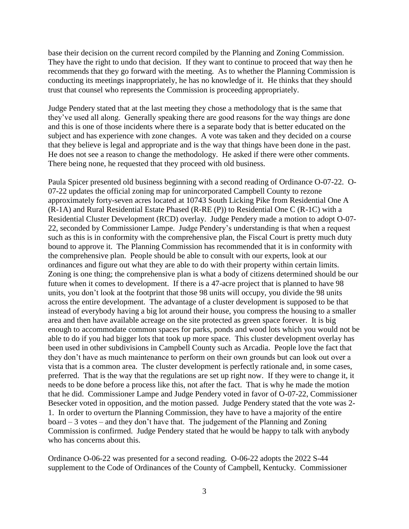base their decision on the current record compiled by the Planning and Zoning Commission. They have the right to undo that decision. If they want to continue to proceed that way then he recommends that they go forward with the meeting. As to whether the Planning Commission is conducting its meetings inappropriately, he has no knowledge of it. He thinks that they should trust that counsel who represents the Commission is proceeding appropriately.

Judge Pendery stated that at the last meeting they chose a methodology that is the same that they've used all along. Generally speaking there are good reasons for the way things are done and this is one of those incidents where there is a separate body that is better educated on the subject and has experience with zone changes. A vote was taken and they decided on a course that they believe is legal and appropriate and is the way that things have been done in the past. He does not see a reason to change the methodology. He asked if there were other comments. There being none, he requested that they proceed with old business.

Paula Spicer presented old business beginning with a second reading of Ordinance O-07-22. O-07-22 updates the official zoning map for unincorporated Campbell County to rezone approximately forty-seven acres located at 10743 South Licking Pike from Residential One A (R-1A) and Rural Residential Estate Phased (R-RE (P)) to Residential One C (R-1C) with a Residential Cluster Development (RCD) overlay. Judge Pendery made a motion to adopt O-07- 22, seconded by Commissioner Lampe. Judge Pendery's understanding is that when a request such as this is in conformity with the comprehensive plan, the Fiscal Court is pretty much duty bound to approve it. The Planning Commission has recommended that it is in conformity with the comprehensive plan. People should be able to consult with our experts, look at our ordinances and figure out what they are able to do with their property within certain limits. Zoning is one thing; the comprehensive plan is what a body of citizens determined should be our future when it comes to development. If there is a 47-acre project that is planned to have 98 units, you don't look at the footprint that those 98 units will occupy, you divide the 98 units across the entire development. The advantage of a cluster development is supposed to be that instead of everybody having a big lot around their house, you compress the housing to a smaller area and then have available acreage on the site protected as green space forever. It is big enough to accommodate common spaces for parks, ponds and wood lots which you would not be able to do if you had bigger lots that took up more space. This cluster development overlay has been used in other subdivisions in Campbell County such as Arcadia. People love the fact that they don't have as much maintenance to perform on their own grounds but can look out over a vista that is a common area. The cluster development is perfectly rationale and, in some cases, preferred. That is the way that the regulations are set up right now. If they were to change it, it needs to be done before a process like this, not after the fact. That is why he made the motion that he did. Commissioner Lampe and Judge Pendery voted in favor of O-07-22, Commissioner Besecker voted in opposition, and the motion passed. Judge Pendery stated that the vote was 2- 1. In order to overturn the Planning Commission, they have to have a majority of the entire board – 3 votes – and they don't have that. The judgement of the Planning and Zoning Commission is confirmed. Judge Pendery stated that he would be happy to talk with anybody who has concerns about this.

Ordinance O-06-22 was presented for a second reading. O-06-22 adopts the 2022 S-44 supplement to the Code of Ordinances of the County of Campbell, Kentucky. Commissioner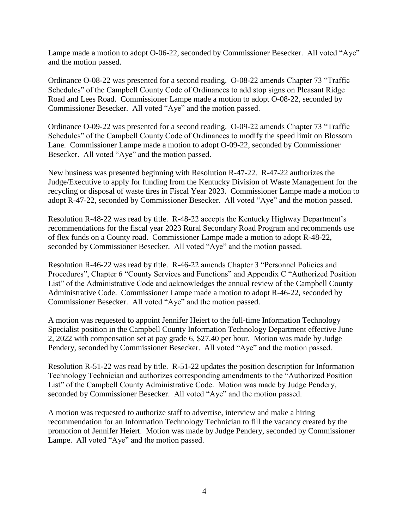Lampe made a motion to adopt O-06-22, seconded by Commissioner Besecker. All voted "Aye" and the motion passed.

Ordinance O-08-22 was presented for a second reading. O-08-22 amends Chapter 73 "Traffic Schedules" of the Campbell County Code of Ordinances to add stop signs on Pleasant Ridge Road and Lees Road. Commissioner Lampe made a motion to adopt O-08-22, seconded by Commissioner Besecker. All voted "Aye" and the motion passed.

Ordinance O-09-22 was presented for a second reading. O-09-22 amends Chapter 73 "Traffic Schedules" of the Campbell County Code of Ordinances to modify the speed limit on Blossom Lane. Commissioner Lampe made a motion to adopt O-09-22, seconded by Commissioner Besecker. All voted "Aye" and the motion passed.

New business was presented beginning with Resolution R-47-22. R-47-22 authorizes the Judge/Executive to apply for funding from the Kentucky Division of Waste Management for the recycling or disposal of waste tires in Fiscal Year 2023. Commissioner Lampe made a motion to adopt R-47-22, seconded by Commissioner Besecker. All voted "Aye" and the motion passed.

Resolution R-48-22 was read by title. R-48-22 accepts the Kentucky Highway Department's recommendations for the fiscal year 2023 Rural Secondary Road Program and recommends use of flex funds on a County road. Commissioner Lampe made a motion to adopt R-48-22, seconded by Commissioner Besecker. All voted "Aye" and the motion passed.

Resolution R-46-22 was read by title. R-46-22 amends Chapter 3 "Personnel Policies and Procedures", Chapter 6 "County Services and Functions" and Appendix C "Authorized Position List" of the Administrative Code and acknowledges the annual review of the Campbell County Administrative Code. Commissioner Lampe made a motion to adopt R-46-22, seconded by Commissioner Besecker. All voted "Aye" and the motion passed.

A motion was requested to appoint Jennifer Heiert to the full-time Information Technology Specialist position in the Campbell County Information Technology Department effective June 2, 2022 with compensation set at pay grade 6, \$27.40 per hour. Motion was made by Judge Pendery, seconded by Commissioner Besecker. All voted "Aye" and the motion passed.

Resolution R-51-22 was read by title. R-51-22 updates the position description for Information Technology Technician and authorizes corresponding amendments to the "Authorized Position List" of the Campbell County Administrative Code. Motion was made by Judge Pendery, seconded by Commissioner Besecker. All voted "Aye" and the motion passed.

A motion was requested to authorize staff to advertise, interview and make a hiring recommendation for an Information Technology Technician to fill the vacancy created by the promotion of Jennifer Heiert. Motion was made by Judge Pendery, seconded by Commissioner Lampe. All voted "Aye" and the motion passed.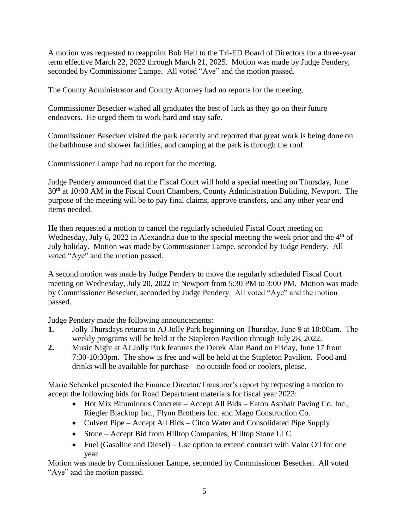A motion was requested to reappoint Bob Heil to the Tri-ED Board of Directors for a three-year term effective March 22, 2022 through March 21, 2025. Motion was made by Judge Pendery, seconded by Commissioner Lampe. All voted "Aye" and the motion passed.

The County Administrator and County Attorney had no reports for the meeting.

Commissioner Besecker wished all graduates the best of luck as they go on their future endeavors. He urged them to work hard and stay safe.

Commissioner Besecker visited the park recently and reported that great work is being done on the bathhouse and shower facilities, and camping at the park is through the roof.

Commissioner Lampe had no report for the meeting.

Judge Pendery announced that the Fiscal Court will hold a special meeting on Thursday, June 30<sup>th</sup> at 10:00 AM in the Fiscal Court Chambers, County Administration Building, Newport. The purpose of the meeting will be to pay final claims, approve transfers, and any other year end items needed.

He then requested a motion to cancel the regularly scheduled Fiscal Court meeting on Wednesday, July 6, 2022 in Alexandria due to the special meeting the week prior and the 4<sup>th</sup> of July holiday. Motion was made by Commissioner Lampe, seconded by Judge Pendery. All voted "Aye" and the motion passed.

A second motion was made by Judge Pendery to move the regularly scheduled Fiscal Court meeting on Wednesday, July 20, 2022 in Newport from 5:30 PM to 3:00 PM. Motion was made by Commissioner Besecker, seconded by Judge Pendery. All voted "Aye" and the motion passed.

Judge Pendery made the following announcements:

- **1.** Jolly Thursdays returns to AJ Jolly Park beginning on Thursday, June 9 at 10:00am. The weekly programs will be held at the Stapleton Pavilion through July 28, 2022.
- **2.** Music Night at AJ Jolly Park features the Derek Alan Band on Friday, June 17 from 7:30-10:30pm. The show is free and will be held at the Stapleton Pavilion. Food and drinks will be available for purchase – no outside food or coolers, please.

Marie Schenkel presented the Finance Director/Treasurer's report by requesting a motion to accept the following bids for Road Department materials for fiscal year 2023:

- Hot Mix Bituminous Concrete Accept All Bids Eaton Asphalt Paving Co. Inc., Riegler Blacktop Inc., Flynn Brothers Inc. and Mago Construction Co.
- Culvert Pipe Accept All Bids Citco Water and Consolidated Pipe Supply
- Stone Accept Bid from Hilltop Companies, Hilltop Stone LLC
- Fuel (Gasoline and Diesel) Use option to extend contract with Valor Oil for one year

Motion was made by Commissioner Lampe, seconded by Commissioner Besecker. All voted "Aye" and the motion passed.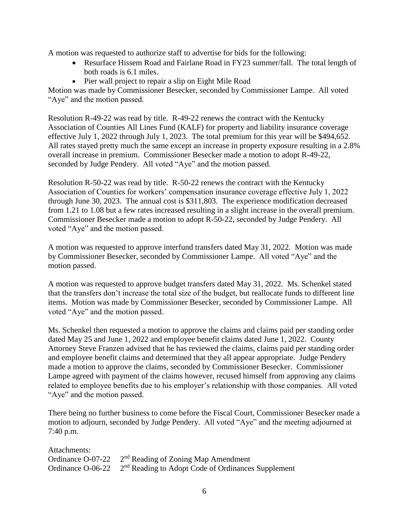A motion was requested to authorize staff to advertise for bids for the following:

- Resurface Hissem Road and Fairlane Road in FY23 summer/fall. The total length of both roads is 6.1 miles.
- Pier wall project to repair a slip on Eight Mile Road

Motion was made by Commissioner Besecker, seconded by Commissioner Lampe. All voted "Aye" and the motion passed.

Resolution R-49-22 was read by title. R-49-22 renews the contract with the Kentucky Association of Counties All Lines Fund (KALF) for property and liability insurance coverage effective July 1, 2022 through July 1, 2023. The total premium for this year will be \$494,652. All rates stayed pretty much the same except an increase in property exposure resulting in a 2.8% overall increase in premium. Commissioner Besecker made a motion to adopt R-49-22, seconded by Judge Pendery. All voted "Aye" and the motion passed.

Resolution R-50-22 was read by title. R-50-22 renews the contract with the Kentucky Association of Counties for workers' compensation insurance coverage effective July 1, 2022 through June 30, 2023. The annual cost is \$311,803. The experience modification decreased from 1.21 to 1.08 but a few rates increased resulting in a slight increase in the overall premium. Commissioner Besecker made a motion to adopt R-50-22, seconded by Judge Pendery. All voted "Aye" and the motion passed.

A motion was requested to approve interfund transfers dated May 31, 2022. Motion was made by Commissioner Besecker, seconded by Commissioner Lampe. All voted "Aye" and the motion passed.

A motion was requested to approve budget transfers dated May 31, 2022. Ms. Schenkel stated that the transfers don't increase the total size of the budget, but reallocate funds to different line items. Motion was made by Commissioner Besecker, seconded by Commissioner Lampe. All voted "Aye" and the motion passed.

Ms. Schenkel then requested a motion to approve the claims and claims paid per standing order dated May 25 and June 1, 2022 and employee benefit claims dated June 1, 2022. County Attorney Steve Franzen advised that he has reviewed the claims, claims paid per standing order and employee benefit claims and determined that they all appear appropriate. Judge Pendery made a motion to approve the claims, seconded by Commissioner Besecker. Commissioner Lampe agreed with payment of the claims however, recused himself from approving any claims related to employee benefits due to his employer's relationship with those companies. All voted "Aye" and the motion passed.

There being no further business to come before the Fiscal Court, Commissioner Besecker made a motion to adjourn, seconded by Judge Pendery. All voted "Aye" and the meeting adjourned at 7:40 p.m.

| Attachments: |                                                                                  |
|--------------|----------------------------------------------------------------------------------|
|              | Ordinance O-07-22 2 <sup>nd</sup> Reading of Zoning Map Amendment                |
|              | Ordinance O-06-22 2 <sup>nd</sup> Reading to Adopt Code of Ordinances Supplement |